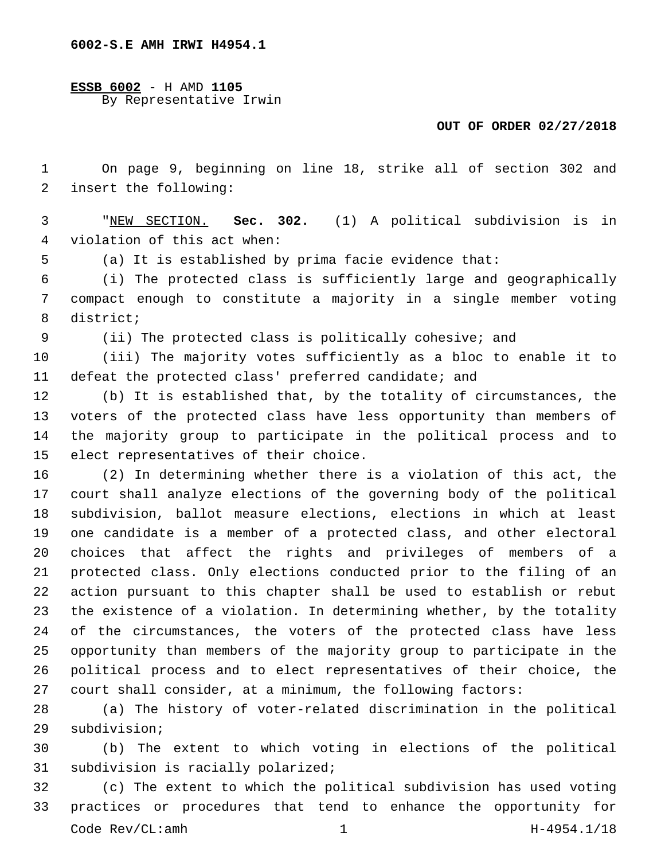**ESSB 6002** - H AMD **1105** By Representative Irwin

## **OUT OF ORDER 02/27/2018**

 On page 9, beginning on line 18, strike all of section 302 and 2 insert the following:

 "NEW SECTION. **Sec. 302.** (1) A political subdivision is in violation of this act when:

(a) It is established by prima facie evidence that:

 (i) The protected class is sufficiently large and geographically compact enough to constitute a majority in a single member voting 8 district;

(ii) The protected class is politically cohesive; and

 (iii) The majority votes sufficiently as a bloc to enable it to defeat the protected class' preferred candidate; and

 (b) It is established that, by the totality of circumstances, the voters of the protected class have less opportunity than members of the majority group to participate in the political process and to 15 elect representatives of their choice.

 (2) In determining whether there is a violation of this act, the court shall analyze elections of the governing body of the political subdivision, ballot measure elections, elections in which at least one candidate is a member of a protected class, and other electoral choices that affect the rights and privileges of members of a protected class. Only elections conducted prior to the filing of an action pursuant to this chapter shall be used to establish or rebut the existence of a violation. In determining whether, by the totality of the circumstances, the voters of the protected class have less opportunity than members of the majority group to participate in the political process and to elect representatives of their choice, the court shall consider, at a minimum, the following factors:

 (a) The history of voter-related discrimination in the political 29 subdivision;

 (b) The extent to which voting in elections of the political 31 subdivision is racially polarized;

 (c) The extent to which the political subdivision has used voting practices or procedures that tend to enhance the opportunity for Code Rev/CL:amh 1 H-4954.1/18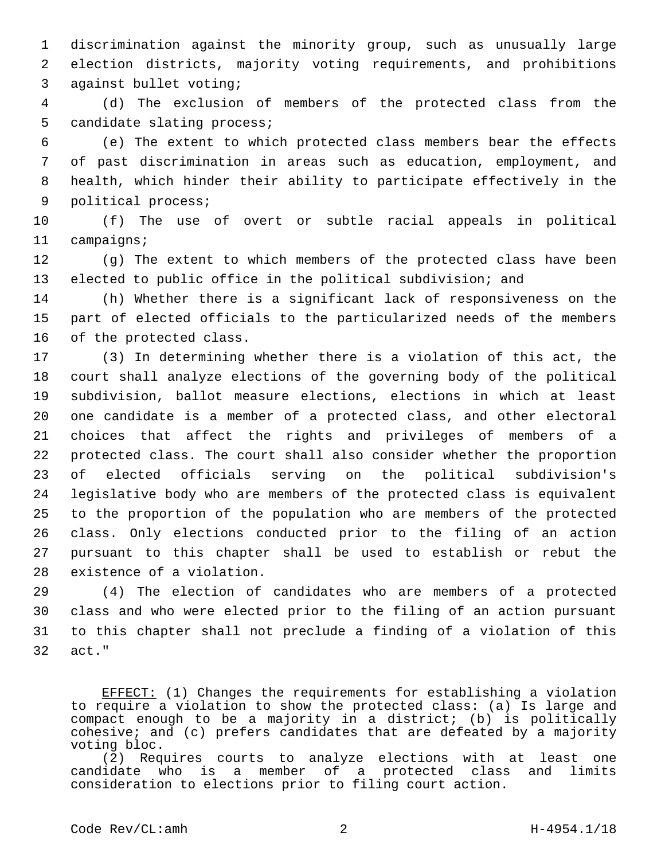discrimination against the minority group, such as unusually large election districts, majority voting requirements, and prohibitions 3 against bullet voting;

 (d) The exclusion of members of the protected class from the 5 candidate slating process;

 (e) The extent to which protected class members bear the effects of past discrimination in areas such as education, employment, and health, which hinder their ability to participate effectively in the 9 political process;

 (f) The use of overt or subtle racial appeals in political 11 campaigns;

 (g) The extent to which members of the protected class have been elected to public office in the political subdivision; and

 (h) Whether there is a significant lack of responsiveness on the part of elected officials to the particularized needs of the members 16 of the protected class.

 (3) In determining whether there is a violation of this act, the court shall analyze elections of the governing body of the political subdivision, ballot measure elections, elections in which at least one candidate is a member of a protected class, and other electoral choices that affect the rights and privileges of members of a protected class. The court shall also consider whether the proportion of elected officials serving on the political subdivision's legislative body who are members of the protected class is equivalent to the proportion of the population who are members of the protected class. Only elections conducted prior to the filing of an action pursuant to this chapter shall be used to establish or rebut the 28 existence of a violation.

 (4) The election of candidates who are members of a protected class and who were elected prior to the filing of an action pursuant to this chapter shall not preclude a finding of a violation of this 32 act."

EFFECT: (1) Changes the requirements for establishing a violation to require a violation to show the protected class: (a) Is large and compact enough to be a majority in a district; (b) is politically cohesive; and (c) prefers candidates that are defeated by a majority voting bloc.

(2) Requires courts to analyze elections with at least one candidate who is a member of a protected class and limits consideration to elections prior to filing court action.